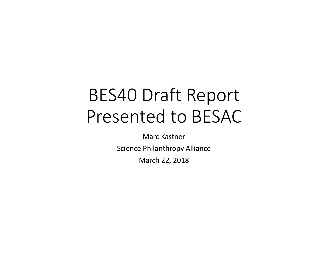# BES40 Draft Report Presented to BESAC

Marc Kastner Science Philanthropy Alliance March 22, 2018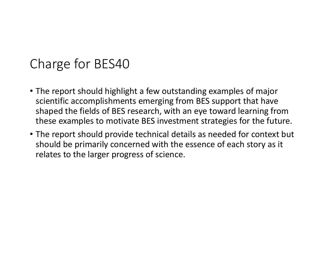## Charge for BES40

- The report should highlight a few outstanding examples of major scientific accomplishments emerging from BES support that have shaped the fields of BES research, with an eye toward learning from these examples to motivate BES investment strategies for the future.
- The report should provide technical details as needed for context but should be primarily concerned with the essence of each story as it relates to the larger progress of science.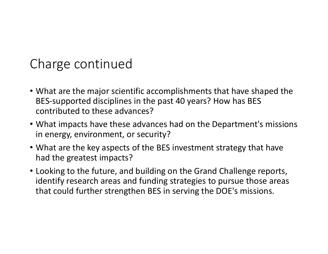# Charge continued

- What are the major scientific accomplishments that have shaped the BES-supported disciplines in the past 40 years? How has BES contributed to these advances?
- What impacts have these advances had on the Department's missions in energy, environment, or security?
- What are the key aspects of the BES investment strategy that have had the greatest impacts?
- Looking to the future, and building on the Grand Challenge reports, identify research areas and funding strategies to pursue those areas that could further strengthen BES in serving the DOE's missions.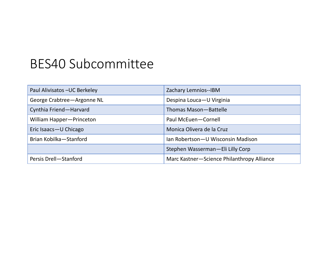# BES40 Subcommittee

| Paul Alivisatos - UC Berkeley | Zachary Lemnios--IBM                       |
|-------------------------------|--------------------------------------------|
| George Crabtree-Argonne NL    | Despina Louca-U Virginia                   |
| Cynthia Friend-Harvard        | Thomas Mason-Battelle                      |
| William Happer-Princeton      | Paul McEuen-Cornell                        |
| Eric Isaacs-U Chicago         | Monica Olivera de la Cruz                  |
| Brian Kobilka - Stanford      | Ian Robertson-U Wisconsin Madison          |
|                               | Stephen Wasserman-Eli Lilly Corp           |
| Persis Drell-Stanford         | Marc Kastner-Science Philanthropy Alliance |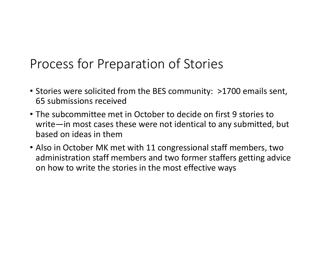## Process for Preparation of Stories

- Stories were solicited from the BES community: >1700 emails sent, 65 submissions received
- The subcommittee met in October to decide on first 9 stories to write—in most cases these were not identical to any submitted, but based on ideas in them
- Also in October MK met with 11 congressional staff members, two administration staff members and two former staffers getting advice on how to write the stories in the most effective ways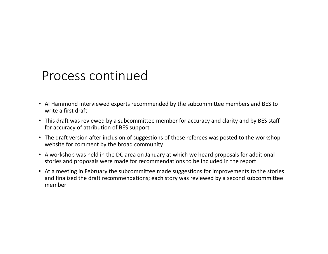#### Process continued

- Al Hammond interviewed experts recommended by the subcommittee members and BES to write a first draft
- This draft was reviewed by a subcommittee member for accuracy and clarity and by BES staff for accuracy of attribution of BES support
- The draft version after inclusion of suggestions of these referees was posted to the workshop website for comment by the broad community
- A workshop was held in the DC area on January at which we heard proposals for additional stories and proposals were made for recommendations to be included in the report
- At a meeting in February the subcommittee made suggestions for improvements to the stories and finalized the draft recommendations; each story was reviewed by a second subcommittee member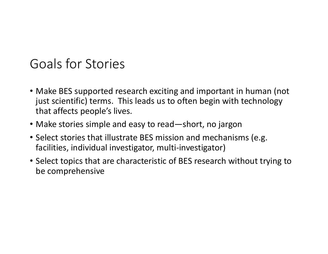## Goals for Stories

- Make BES supported research exciting and important in human (not just scientific) terms. This leads us to often begin with technology that affects people's lives.
- Make stories simple and easy to read—short, no jargon
- Select stories that illustrate BES mission and mechanisms (e.g. facilities, individual investigator, multi-investigator)
- Select topics that are characteristic of BES research without trying to be comprehensive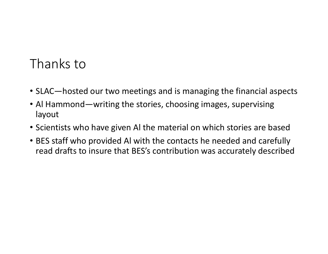#### Thanks to

- SLAC—hosted our two meetings and is managing the financial aspects
- Al Hammond—writing the stories, choosing images, supervising layout
- Scientists who have given Al the material on which stories are based
- BES staff who provided Al with the contacts he needed and carefully read drafts to insure that BES's contribution was accurately described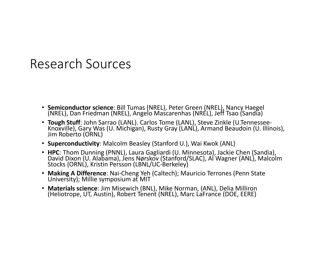#### Research Sources

- **Semiconductor science**: Bill Tumas (NREL), Peter Green (NREL), Nancy Haegel (NREL), Dan Friedman (NREL), Angelo Mascarenhas (NREL), Jeff Tsao (Sandia)
- **Tough Stuff**: John Sarrao (LANL). Carlos Tome (LANL), Steve Zinkle (U.Tennessee-<br>Knoxville), Gary Was (U. Michigan), Rusty Gray (LANL), Armand Beaudoin (U. Illinois), Jim Roberto (ORNL)
- **Superconductivity**: Malcolm Beasley (Stanford U.), Wai Kwok (ANL)
- **HPC**: Thom Dunning (PNNL), Laura Gagliardi (U. Minnesota), Jackie Chen (Sandia), David Dixon (U. Alabama), Jens Nørskov (Stanford/SLAC), Al Wagner (ANL), Malcolm Stocks (ORNL), Kristin Persson (LBNL/UC-Berkeley)
- **Making A Difference**: Nai-Cheng Yeh (Caltech); Mauricio Terrones (Penn State University); Millie symposium at MIT
- **Materials science**: Jim Misewich (BNL), Mike Norman, (ANL), Delia Milliron (Heliotrope, UT, Austin), Robert Tenent (NREL), Marc LaFrance (DOE, EERE)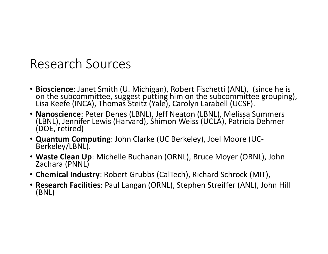#### Research Sources

- **Bioscience**: Janet Smith (U. Michigan), Robert Fischetti (ANL), (since he is on the subcommittee, suggest putting him on the subcommittee grouping), Lisa Keefe (INCA), Thomas Steitz (Yale), Carolyn Larabell (UCSF).
- **Nanoscience**: Peter Denes (LBNL), Jeff Neaton (LBNL), Melissa Summers (LBNL), Jennifer Lewis (Harvard), Shimon Weiss (UCLA), Patricia Dehmer (DOE, retired)
- **Quantum Computing**: John Clarke (UC Berkeley), Joel Moore (UC- Berkeley/LBNL).
- **Waste Clean Up**: Michelle Buchanan (ORNL), Bruce Moyer (ORNL), John Zachara (PNNL)
- **Chemical Industry**: Robert Grubbs (CalTech), Richard Schrock (MIT),
- **Research Facilities**: Paul Langan (ORNL), Stephen Streiffer (ANL), John Hill (BNL)